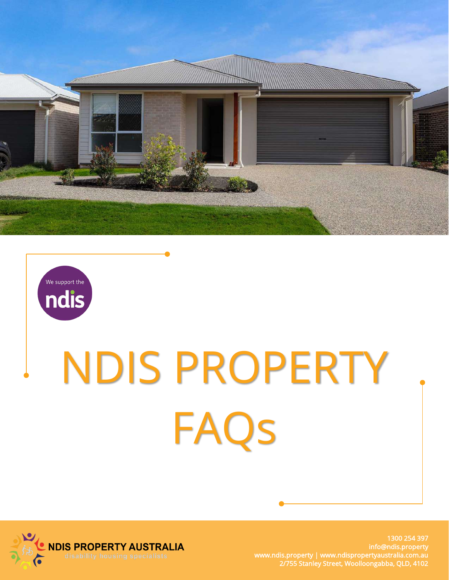



# NDIS PROPERTY FAQs



1300 254 397 info@ndis.property www.ndis.property | www.ndispropertyaustralia.com.au 2/755 Stanley Street, Woolloongabba, QLD, 4102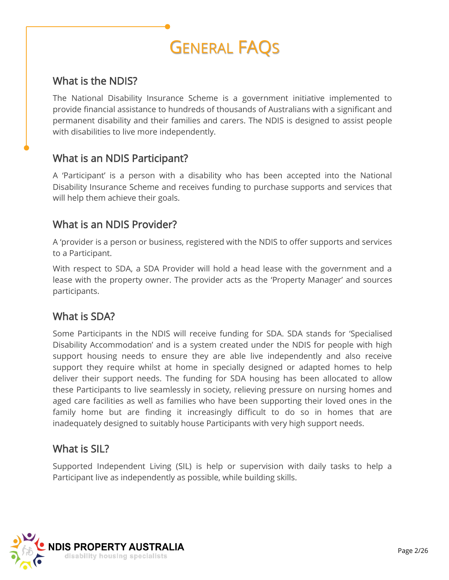# GENERAL FAQS

#### What is the NDIS?

The National Disability Insurance Scheme is a government initiative implemented to provide financial assistance to hundreds of thousands of Australians with a significant and permanent disability and their families and carers. The NDIS is designed to assist people with disabilities to live more independently.

#### What is an NDIS Participant?

A 'Participant' is a person with a disability who has been accepted into the National Disability Insurance Scheme and receives funding to purchase supports and services that will help them achieve their goals.

#### What is an NDIS Provider?

A 'provider is a person or business, registered with the NDIS to offer supports and services to a Participant.

With respect to SDA, a SDA Provider will hold a head lease with the government and a lease with the property owner. The provider acts as the 'Property Manager' and sources participants.

#### What is SDA?

Some Participants in the NDIS will receive funding for SDA. SDA stands for 'Specialised Disability Accommodation' and is a system created under the NDIS for people with high support housing needs to ensure they are able live independently and also receive support they require whilst at home in specially designed or adapted homes to help deliver their support needs. The funding for SDA housing has been allocated to allow these Participants to live seamlessly in society, relieving pressure on nursing homes and aged care facilities as well as families who have been supporting their loved ones in the family home but are finding it increasingly difficult to do so in homes that are inadequately designed to suitably house Participants with very high support needs.

#### What is SIL?

Supported Independent Living (SIL) is help or supervision with daily tasks to help a Participant live as independently as possible, while building skills.

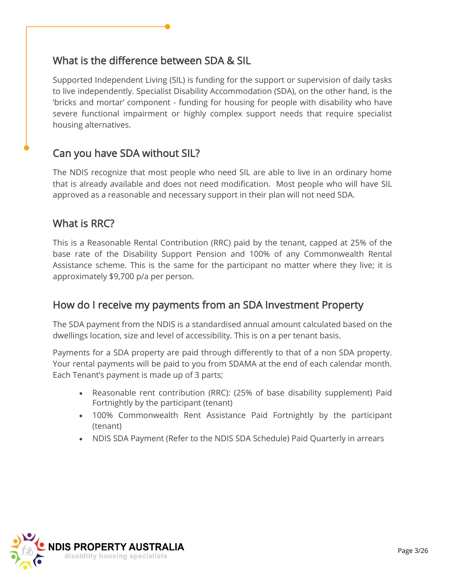#### What is the difference between SDA & SIL

Supported Independent Living (SIL) is funding for the support or supervision of daily tasks to live independently. Specialist Disability Accommodation (SDA), on the other hand, is the 'bricks and mortar' component - funding for housing for people with disability who have severe functional impairment or highly complex support needs that require specialist housing alternatives.

# Can you have SDA without SIL?

The NDIS recognize that most people who need SIL are able to live in an ordinary home that is already available and does not need modification. Most people who will have SIL approved as a reasonable and necessary support in their plan will not need SDA.

#### What is RRC?

This is a Reasonable Rental Contribution (RRC) paid by the tenant, capped at 25% of the base rate of the Disability Support Pension and 100% of any Commonwealth Rental Assistance scheme. This is the same for the participant no matter where they live; it is approximately \$9,700 p/a per person.

# How do I receive my payments from an SDA Investment Property

The SDA payment from the NDIS is a standardised annual amount calculated based on the dwellings location, size and level of accessibility. This is on a per tenant basis.

Payments for a SDA property are paid through differently to that of a non SDA property. Your rental payments will be paid to you from SDAMA at the end of each calendar month. Each Tenant's payment is made up of 3 parts;

- Reasonable rent contribution (RRC): (25% of base disability supplement) Paid Fortnightly by the participant (tenant)
- 100% Commonwealth Rent Assistance Paid Fortnightly by the participant (tenant)
- NDIS SDA Payment (Refer to the NDIS SDA Schedule) Paid Quarterly in arrears

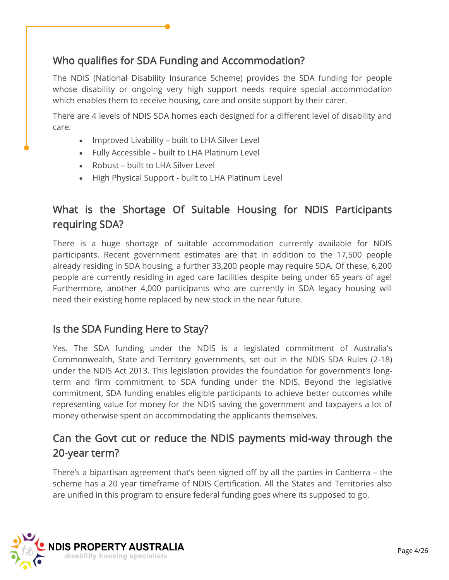# Who qualifies for SDA Funding and Accommodation?

The NDIS (National Disability Insurance Scheme) provides the SDA funding for people whose disability or ongoing very high support needs require special accommodation which enables them to receive housing, care and onsite support by their carer.

There are 4 levels of NDIS SDA homes each designed for a different level of disability and care:

- Improved Livability built to LHA Silver Level
- Fully Accessible built to LHA Platinum Level
- Robust built to LHA Silver Level
- High Physical Support built to LHA Platinum Level

# What is the Shortage Of Suitable Housing for NDIS Participants requiring SDA?

There is a huge shortage of suitable accommodation currently available for NDIS participants. Recent government estimates are that in addition to the 17,500 people already residing in SDA housing, a further 33,200 people may require SDA. Of these, 6,200 people are currently residing in aged care facilities despite being under 65 years of age! Furthermore, another 4,000 participants who are currently in SDA legacy housing will need their existing home replaced by new stock in the near future.

#### Is the SDA Funding Here to Stay?

Yes. The SDA funding under the NDIS is a legislated commitment of Australia's Commonwealth, State and Territory governments, set out in the NDIS SDA Rules (2-18) under the NDIS Act 2013. This legislation provides the foundation for government's longterm and firm commitment to SDA funding under the NDIS. Beyond the legislative commitment, SDA funding enables eligible participants to achieve better outcomes while representing value for money for the NDIS saving the government and taxpayers a lot of money otherwise spent on accommodating the applicants themselves.

# Can the Govt cut or reduce the NDIS payments mid-way through the 20-year term?

There's a bipartisan agreement that's been signed off by all the parties in Canberra – the scheme has a 20 year timeframe of NDIS Certification. All the States and Territories also are unified in this program to ensure federal funding goes where its supposed to go.

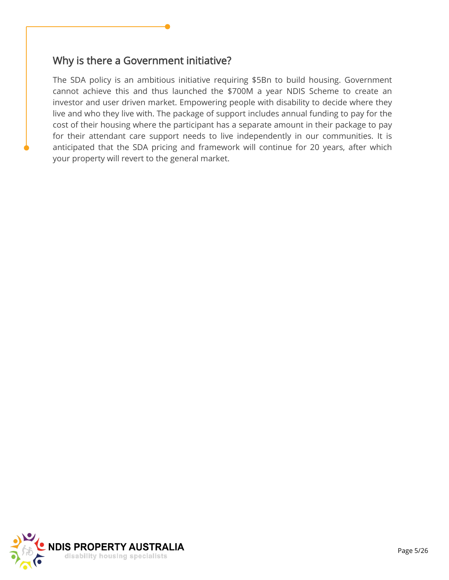#### Why is there a Government initiative?

The SDA policy is an ambitious initiative requiring \$5Bn to build housing. Government cannot achieve this and thus launched the \$700M a year NDIS Scheme to create an investor and user driven market. Empowering people with disability to decide where they live and who they live with. The package of support includes annual funding to pay for the cost of their housing where the participant has a separate amount in their package to pay for their attendant care support needs to live independently in our communities. It is anticipated that the SDA pricing and framework will continue for 20 years, after which your property will revert to the general market.

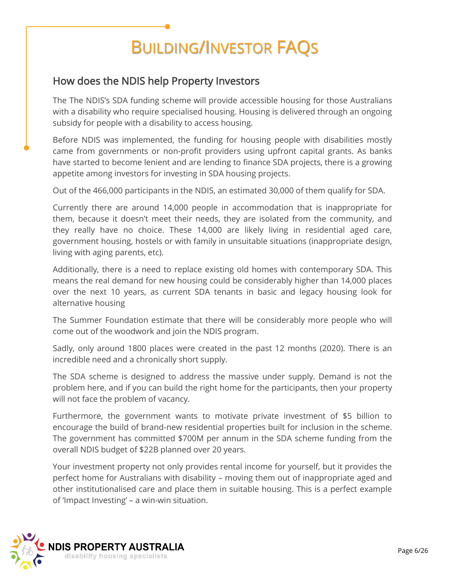# BUILDING/INVESTOR FAQS

# How does the NDIS help Property Investors

The The NDIS's SDA funding scheme will provide accessible housing for those Australians with a disability who require specialised housing. Housing is delivered through an ongoing subsidy for people with a disability to access housing.

Before NDIS was implemented, the funding for housing people with disabilities mostly came from governments or non-profit providers using upfront capital grants. As banks have started to become lenient and are lending to finance SDA projects, there is a growing appetite among investors for investing in SDA housing projects.

Out of the 466,000 participants in the NDIS, an estimated 30,000 of them qualify for SDA.

Currently there are around 14,000 people in accommodation that is inappropriate for them, because it doesn't meet their needs, they are isolated from the community, and they really have no choice. These 14,000 are likely living in residential aged care, government housing, hostels or with family in unsuitable situations (inappropriate design, living with aging parents, etc).

Additionally, there is a need to replace existing old homes with contemporary SDA. This means the real demand for new housing could be considerably higher than 14,000 places over the next 10 years, as current SDA tenants in basic and legacy housing look for alternative housing

The Summer Foundation estimate that there will be considerably more people who will come out of the woodwork and join the NDIS program.

Sadly, only around 1800 places were created in the past 12 months (2020). There is an incredible need and a chronically short supply.

The SDA scheme is designed to address the massive under supply. Demand is not the problem here, and if you can build the right home for the participants, then your property will not face the problem of vacancy.

Furthermore, the government wants to motivate private investment of \$5 billion to encourage the build of brand-new residential properties built for inclusion in the scheme. The government has committed \$700M per annum in the SDA scheme funding from the overall NDIS budget of \$22B planned over 20 years.

Your investment property not only provides rental income for yourself, but it provides the perfect home for Australians with disability – moving them out of inappropriate aged and other institutionalised care and place them in suitable housing. This is a perfect example of 'Impact Investing' – a win-win situation.

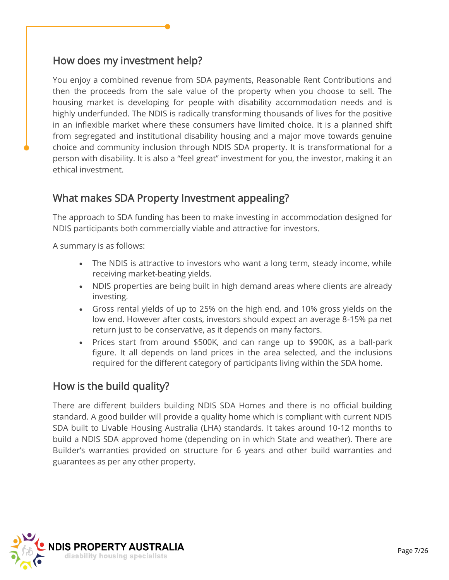# How does my investment help?

You enjoy a combined revenue from SDA payments, Reasonable Rent Contributions and then the proceeds from the sale value of the property when you choose to sell. The housing market is developing for people with disability accommodation needs and is highly underfunded. The NDIS is radically transforming thousands of lives for the positive in an inflexible market where these consumers have limited choice. It is a planned shift from segregated and institutional disability housing and a major move towards genuine choice and community inclusion through NDIS SDA property. It is transformational for a person with disability. It is also a "feel great" investment for you, the investor, making it an ethical investment.

#### What makes SDA Property Investment appealing?

The approach to SDA funding has been to make investing in accommodation designed for NDIS participants both commercially viable and attractive for investors.

A summary is as follows:

- The NDIS is attractive to investors who want a long term, steady income, while receiving market-beating yields.
- NDIS properties are being built in high demand areas where clients are already investing.
- Gross rental yields of up to 25% on the high end, and 10% gross yields on the low end. However after costs, investors should expect an average 8-15% pa net return just to be conservative, as it depends on many factors.
- Prices start from around \$500K, and can range up to \$900K, as a ball-park figure. It all depends on land prices in the area selected, and the inclusions required for the different category of participants living within the SDA home.

#### How is the build quality?

There are different builders building NDIS SDA Homes and there is no official building standard. A good builder will provide a quality home which is compliant with current NDIS SDA built to Livable Housing Australia (LHA) standards. It takes around 10-12 months to build a NDIS SDA approved home (depending on in which State and weather). There are Builder's warranties provided on structure for 6 years and other build warranties and guarantees as per any other property.

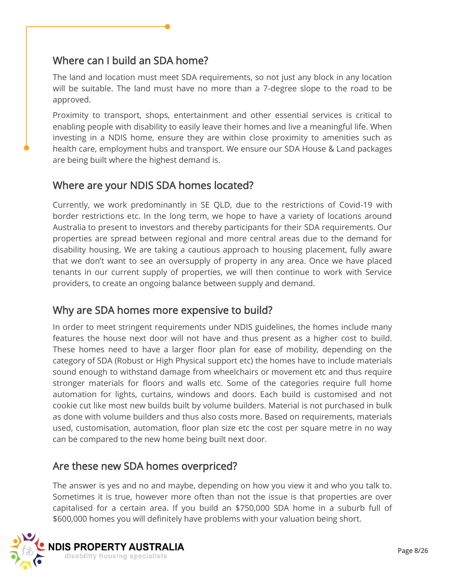# Where can I build an SDA home?

The land and location must meet SDA requirements, so not just any block in any location will be suitable. The land must have no more than a 7-degree slope to the road to be approved.

Proximity to transport, shops, entertainment and other essential services is critical to enabling people with disability to easily leave their homes and live a meaningful life. When investing in a NDIS home, ensure they are within close proximity to amenities such as health care, employment hubs and transport. We ensure our SDA House & Land packages are being built where the highest demand is.

# Where are your NDIS SDA homes located?

Currently, we work predominantly in SE QLD, due to the restrictions of Covid-19 with border restrictions etc. In the long term, we hope to have a variety of locations around Australia to present to investors and thereby participants for their SDA requirements. Our properties are spread between regional and more central areas due to the demand for disability housing. We are taking a cautious approach to housing placement, fully aware that we don't want to see an oversupply of property in any area. Once we have placed tenants in our current supply of properties, we will then continue to work with Service providers, to create an ongoing balance between supply and demand.

# Why are SDA homes more expensive to build?

In order to meet stringent requirements under NDIS guidelines, the homes include many features the house next door will not have and thus present as a higher cost to build. These homes need to have a larger floor plan for ease of mobility, depending on the category of SDA (Robust or High Physical support etc) the homes have to include materials sound enough to withstand damage from wheelchairs or movement etc and thus require stronger materials for floors and walls etc. Some of the categories require full home automation for lights, curtains, windows and doors. Each build is customised and not cookie cut like most new builds built by volume builders. Material is not purchased in bulk as done with volume builders and thus also costs more. Based on requirements, materials used, customisation, automation, floor plan size etc the cost per square metre in no way can be compared to the new home being built next door.

#### Are these new SDA homes overpriced?

The answer is yes and no and maybe, depending on how you view it and who you talk to. Sometimes it is true, however more often than not the issue is that properties are over capitalised for a certain area. If you build an \$750,000 SDA home in a suburb full of \$600,000 homes you will definitely have problems with your valuation being short.

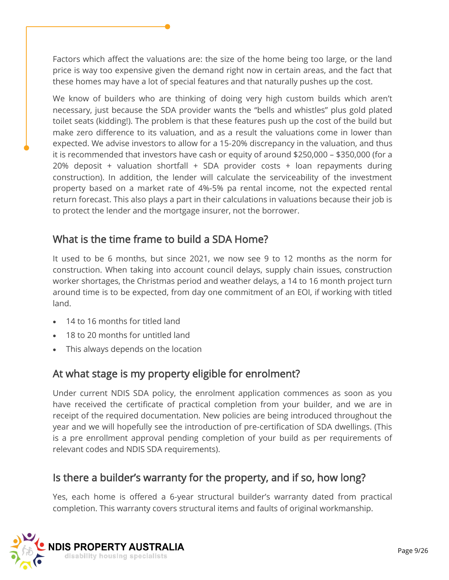Factors which affect the valuations are: the size of the home being too large, or the land price is way too expensive given the demand right now in certain areas, and the fact that these homes may have a lot of special features and that naturally pushes up the cost.

We know of builders who are thinking of doing very high custom builds which aren't necessary, just because the SDA provider wants the "bells and whistles" plus gold plated toilet seats (kidding!). The problem is that these features push up the cost of the build but make zero difference to its valuation, and as a result the valuations come in lower than expected. We advise investors to allow for a 15-20% discrepancy in the valuation, and thus it is recommended that investors have cash or equity of around \$250,000 – \$350,000 (for a 20% deposit + valuation shortfall + SDA provider costs + loan repayments during construction). In addition, the lender will calculate the serviceability of the investment property based on a market rate of 4%-5% pa rental income, not the expected rental return forecast. This also plays a part in their calculations in valuations because their job is to protect the lender and the mortgage insurer, not the borrower.

# What is the time frame to build a SDA Home?

It used to be 6 months, but since 2021, we now see 9 to 12 months as the norm for construction. When taking into account council delays, supply chain issues, construction worker shortages, the Christmas period and weather delays, a 14 to 16 month project turn around time is to be expected, from day one commitment of an EOI, if working with titled land.

- 14 to 16 months for titled land
- 18 to 20 months for untitled land
- This always depends on the location

# At what stage is my property eligible for enrolment?

Under current NDIS SDA policy, the enrolment application commences as soon as you have received the certificate of practical completion from your builder, and we are in receipt of the required documentation. New policies are being introduced throughout the year and we will hopefully see the introduction of pre-certification of SDA dwellings. (This is a pre enrollment approval pending completion of your build as per requirements of relevant codes and NDIS SDA requirements).

#### Is there a builder's warranty for the property, and if so, how long?

Yes, each home is offered a 6-year structural builder's warranty dated from practical completion. This warranty covers structural items and faults of original workmanship.

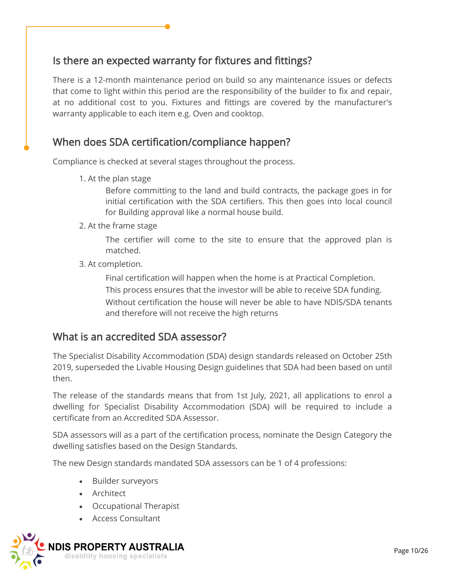# Is there an expected warranty for fixtures and fittings?

There is a 12-month maintenance period on build so any maintenance issues or defects that come to light within this period are the responsibility of the builder to fix and repair, at no additional cost to you. Fixtures and fittings are covered by the manufacturer's warranty applicable to each item e.g. Oven and cooktop.

#### When does SDA certification/compliance happen?

Compliance is checked at several stages throughout the process.

1. At the plan stage

Before committing to the land and build contracts, the package goes in for initial certification with the SDA certifiers. This then goes into local council for Building approval like a normal house build.

2. At the frame stage

The certifier will come to the site to ensure that the approved plan is matched.

3. At completion.

Final certification will happen when the home is at Practical Completion. This process ensures that the investor will be able to receive SDA funding. Without certification the house will never be able to have NDIS/SDA tenants and therefore will not receive the high returns

#### What is an accredited SDA assessor?

The Specialist Disability Accommodation (SDA) design standards released on October 25th 2019, superseded the Livable Housing Design guidelines that SDA had been based on until then.

The release of the standards means that from 1st July, 2021, all applications to enrol a dwelling for Specialist Disability Accommodation (SDA) will be required to include a certificate from an Accredited SDA Assessor.

SDA assessors will as a part of the certification process, nominate the Design Category the dwelling satisfies based on the Design Standards.

The new Design standards mandated SDA assessors can be 1 of 4 professions:

- Builder surveyors
- Architect
- Occupational Therapist
- Access Consultant

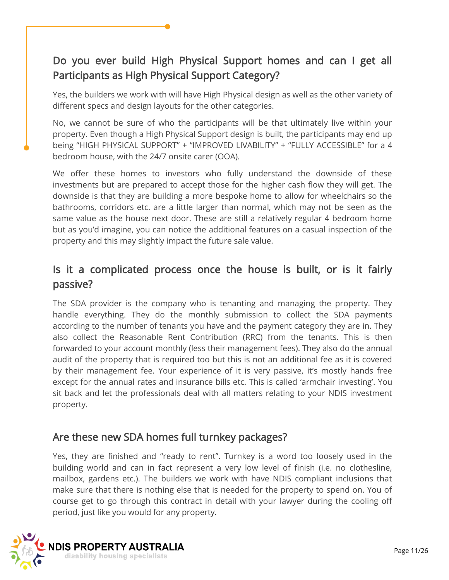# Do you ever build High Physical Support homes and can I get all Participants as High Physical Support Category?

Yes, the builders we work with will have High Physical design as well as the other variety of different specs and design layouts for the other categories.

No, we cannot be sure of who the participants will be that ultimately live within your property. Even though a High Physical Support design is built, the participants may end up being "HIGH PHYSICAL SUPPORT" + "IMPROVED LIVABILITY" + "FULLY ACCESSIBLE" for a 4 bedroom house, with the 24/7 onsite carer (OOA).

We offer these homes to investors who fully understand the downside of these investments but are prepared to accept those for the higher cash flow they will get. The downside is that they are building a more bespoke home to allow for wheelchairs so the bathrooms, corridors etc. are a little larger than normal, which may not be seen as the same value as the house next door. These are still a relatively regular 4 bedroom home but as you'd imagine, you can notice the additional features on a casual inspection of the property and this may slightly impact the future sale value.

# Is it a complicated process once the house is built, or is it fairly passive?

The SDA provider is the company who is tenanting and managing the property. They handle everything. They do the monthly submission to collect the SDA payments according to the number of tenants you have and the payment category they are in. They also collect the Reasonable Rent Contribution (RRC) from the tenants. This is then forwarded to your account monthly (less their management fees). They also do the annual audit of the property that is required too but this is not an additional fee as it is covered by their management fee. Your experience of it is very passive, it's mostly hands free except for the annual rates and insurance bills etc. This is called 'armchair investing'. You sit back and let the professionals deal with all matters relating to your NDIS investment property.

#### Are these new SDA homes full turnkey packages?

Yes, they are finished and "ready to rent". Turnkey is a word too loosely used in the building world and can in fact represent a very low level of finish (i.e. no clothesline, mailbox, gardens etc.). The builders we work with have NDIS compliant inclusions that make sure that there is nothing else that is needed for the property to spend on. You of course get to go through this contract in detail with your lawyer during the cooling off period, just like you would for any property.

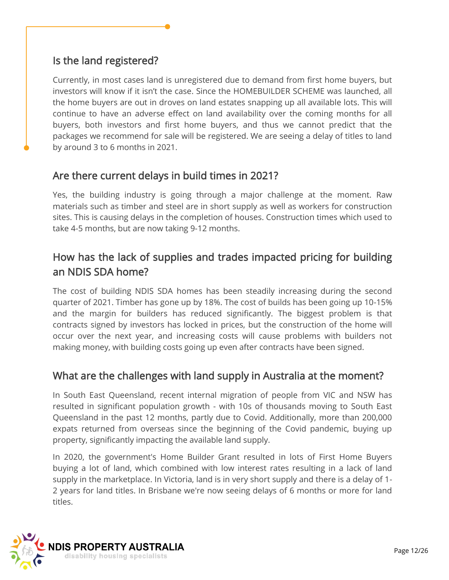# Is the land registered?

Currently, in most cases land is unregistered due to demand from first home buyers, but investors will know if it isn't the case. Since the HOMEBUILDER SCHEME was launched, all the home buyers are out in droves on land estates snapping up all available lots. This will continue to have an adverse effect on land availability over the coming months for all buyers, both investors and first home buyers, and thus we cannot predict that the packages we recommend for sale will be registered. We are seeing a delay of titles to land by around 3 to 6 months in 2021.

# Are there current delays in build times in 2021?

Yes, the building industry is going through a major challenge at the moment. Raw materials such as timber and steel are in short supply as well as workers for construction sites. This is causing delays in the completion of houses. Construction times which used to take 4-5 months, but are now taking 9-12 months.

# How has the lack of supplies and trades impacted pricing for building an NDIS SDA home?

The cost of building NDIS SDA homes has been steadily increasing during the second quarter of 2021. Timber has gone up by 18%. The cost of builds has been going up 10-15% and the margin for builders has reduced significantly. The biggest problem is that contracts signed by investors has locked in prices, but the construction of the home will occur over the next year, and increasing costs will cause problems with builders not making money, with building costs going up even after contracts have been signed.

#### What are the challenges with land supply in Australia at the moment?

In South East Queensland, recent internal migration of people from VIC and NSW has resulted in significant population growth - with 10s of thousands moving to South East Queensland in the past 12 months, partly due to Covid. Additionally, more than 200,000 expats returned from overseas since the beginning of the Covid pandemic, buying up property, significantly impacting the available land supply.

In 2020, the government's Home Builder Grant resulted in lots of First Home Buyers buying a lot of land, which combined with low interest rates resulting in a lack of land supply in the marketplace. In Victoria, land is in very short supply and there is a delay of 1- 2 years for land titles. In Brisbane we're now seeing delays of 6 months or more for land titles.

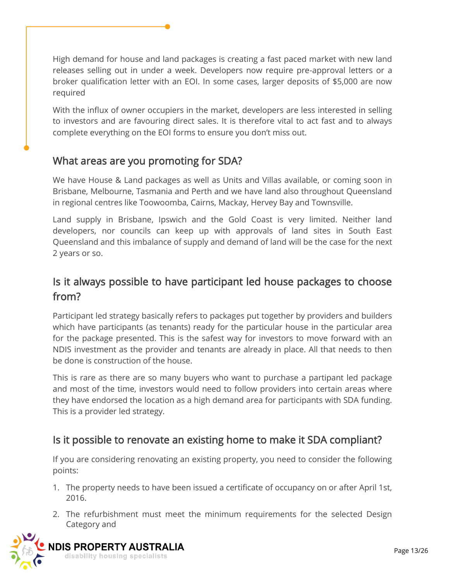High demand for house and land packages is creating a fast paced market with new land releases selling out in under a week. Developers now require pre-approval letters or a broker qualification letter with an EOI. In some cases, larger deposits of \$5,000 are now required

With the influx of owner occupiers in the market, developers are less interested in selling to investors and are favouring direct sales. It is therefore vital to act fast and to always complete everything on the EOI forms to ensure you don't miss out.

# What areas are you promoting for SDA?

We have House & Land packages as well as Units and Villas available, or coming soon in Brisbane, Melbourne, Tasmania and Perth and we have land also throughout Queensland in regional centres like Toowoomba, Cairns, Mackay, Hervey Bay and Townsville.

Land supply in Brisbane, Ipswich and the Gold Coast is very limited. Neither land developers, nor councils can keep up with approvals of land sites in South East Queensland and this imbalance of supply and demand of land will be the case for the next 2 years or so.

# Is it always possible to have participant led house packages to choose from?

Participant led strategy basically refers to packages put together by providers and builders which have participants (as tenants) ready for the particular house in the particular area for the package presented. This is the safest way for investors to move forward with an NDIS investment as the provider and tenants are already in place. All that needs to then be done is construction of the house.

This is rare as there are so many buyers who want to purchase a partipant led package and most of the time, investors would need to follow providers into certain areas where they have endorsed the location as a high demand area for participants with SDA funding. This is a provider led strategy.

# Is it possible to renovate an existing home to make it SDA compliant?

If you are considering renovating an existing property, you need to consider the following points:

- 1. The property needs to have been issued a certificate of occupancy on or after April 1st, 2016.
- 2. The refurbishment must meet the minimum requirements for the selected Design Category and

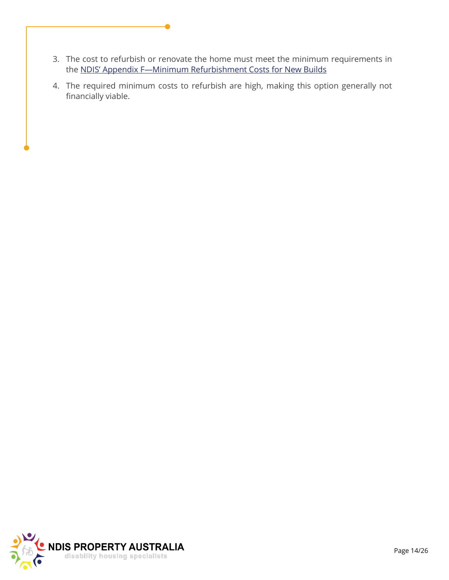- 3. The cost to refurbish or renovate the home must meet the minimum requirements in the [NDIS' Appendix F—Minimum Refurbishment Costs for New Builds](file:///C:/Users/debbi/Documents/Build New Homes/BuildNewHomes/Marketing/Brochures etc/NDIS FAQs/SDA-Appendix-F-–-Minimum-Refurbishment-Costs-for-New-Builds.png)
- 4. The required minimum costs to refurbish are high, making this option generally not financially viable.

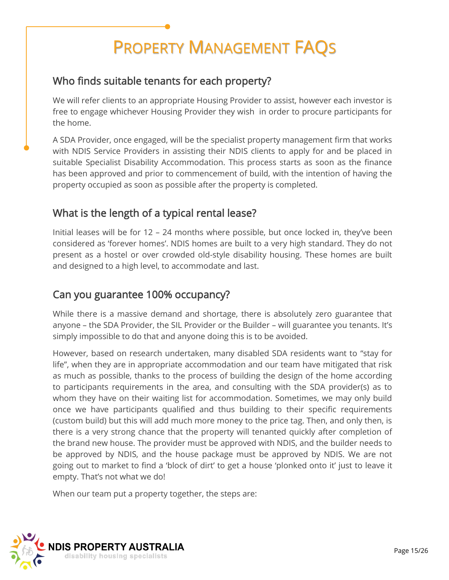# PROPERTY MANAGEMENT FAQS

# Who finds suitable tenants for each property?

We will refer clients to an appropriate Housing Provider to assist, however each investor is free to engage whichever Housing Provider they wish in order to procure participants for the home.

A SDA Provider, once engaged, will be the specialist property management firm that works with NDIS Service Providers in assisting their NDIS clients to apply for and be placed in suitable Specialist Disability Accommodation. This process starts as soon as the finance has been approved and prior to commencement of build, with the intention of having the property occupied as soon as possible after the property is completed.

# What is the length of a typical rental lease?

Initial leases will be for 12 – 24 months where possible, but once locked in, they've been considered as 'forever homes'. NDIS homes are built to a very high standard. They do not present as a hostel or over crowded old-style disability housing. These homes are built and designed to a high level, to accommodate and last.

#### Can you guarantee 100% occupancy?

While there is a massive demand and shortage, there is absolutely zero guarantee that anyone – the SDA Provider, the SIL Provider or the Builder – will guarantee you tenants. It's simply impossible to do that and anyone doing this is to be avoided.

However, based on research undertaken, many disabled SDA residents want to "stay for life", when they are in appropriate accommodation and our team have mitigated that risk as much as possible, thanks to the process of building the design of the home according to participants requirements in the area, and consulting with the SDA provider(s) as to whom they have on their waiting list for accommodation. Sometimes, we may only build once we have participants qualified and thus building to their specific requirements (custom build) but this will add much more money to the price tag. Then, and only then, is there is a very strong chance that the property will tenanted quickly after completion of the brand new house. The provider must be approved with NDIS, and the builder needs to be approved by NDIS, and the house package must be approved by NDIS. We are not going out to market to find a 'block of dirt' to get a house 'plonked onto it' just to leave it empty. That's not what we do!

When our team put a property together, the steps are:

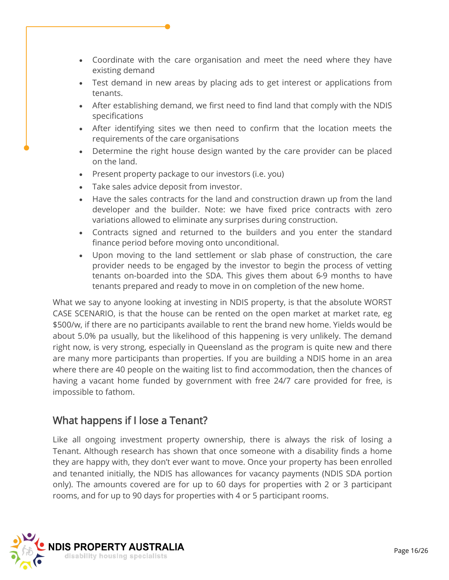- Coordinate with the care organisation and meet the need where they have existing demand
- Test demand in new areas by placing ads to get interest or applications from tenants.
- After establishing demand, we first need to find land that comply with the NDIS specifications
- After identifying sites we then need to confirm that the location meets the requirements of the care organisations
- Determine the right house design wanted by the care provider can be placed on the land.
- Present property package to our investors (i.e. you)
- Take sales advice deposit from investor.
- Have the sales contracts for the land and construction drawn up from the land developer and the builder. Note: we have fixed price contracts with zero variations allowed to eliminate any surprises during construction.
- Contracts signed and returned to the builders and you enter the standard finance period before moving onto unconditional.
- Upon moving to the land settlement or slab phase of construction, the care provider needs to be engaged by the investor to begin the process of vetting tenants on-boarded into the SDA. This gives them about 6-9 months to have tenants prepared and ready to move in on completion of the new home.

What we say to anyone looking at investing in NDIS property, is that the absolute WORST CASE SCENARIO, is that the house can be rented on the open market at market rate, eg \$500/w, if there are no participants available to rent the brand new home. Yields would be about 5.0% pa usually, but the likelihood of this happening is very unlikely. The demand right now, is very strong, especially in Queensland as the program is quite new and there are many more participants than properties. If you are building a NDIS home in an area where there are 40 people on the waiting list to find accommodation, then the chances of having a vacant home funded by government with free 24/7 care provided for free, is impossible to fathom.

# What happens if I lose a Tenant?

Like all ongoing investment property ownership, there is always the risk of losing a Tenant. Although research has shown that once someone with a disability finds a home they are happy with, they don't ever want to move. Once your property has been enrolled and tenanted initially, the NDIS has allowances for vacancy payments (NDIS SDA portion only). The amounts covered are for up to 60 days for properties with 2 or 3 participant rooms, and for up to 90 days for properties with 4 or 5 participant rooms.

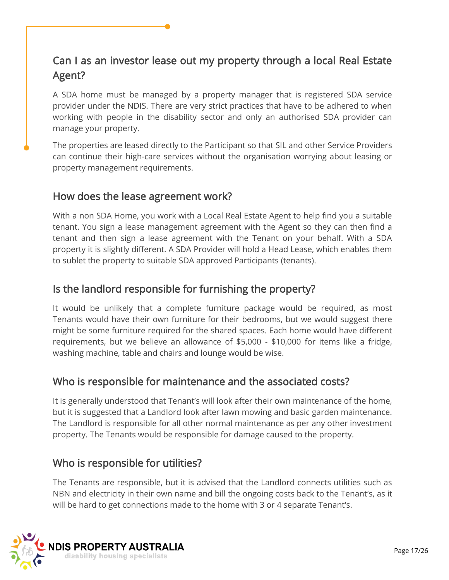# Can I as an investor lease out my property through a local Real Estate Agent?

A SDA home must be managed by a property manager that is registered SDA service provider under the NDIS. There are very strict practices that have to be adhered to when working with people in the disability sector and only an authorised SDA provider can manage your property.

The properties are leased directly to the Participant so that SIL and other Service Providers can continue their high-care services without the organisation worrying about leasing or property management requirements.

#### How does the lease agreement work?

With a non SDA Home, you work with a Local Real Estate Agent to help find you a suitable tenant. You sign a lease management agreement with the Agent so they can then find a tenant and then sign a lease agreement with the Tenant on your behalf. With a SDA property it is slightly different. A SDA Provider will hold a Head Lease, which enables them to sublet the property to suitable SDA approved Participants (tenants).

#### Is the landlord responsible for furnishing the property?

It would be unlikely that a complete furniture package would be required, as most Tenants would have their own furniture for their bedrooms, but we would suggest there might be some furniture required for the shared spaces. Each home would have different requirements, but we believe an allowance of \$5,000 - \$10,000 for items like a fridge, washing machine, table and chairs and lounge would be wise.

# Who is responsible for maintenance and the associated costs?

It is generally understood that Tenant's will look after their own maintenance of the home, but it is suggested that a Landlord look after lawn mowing and basic garden maintenance. The Landlord is responsible for all other normal maintenance as per any other investment property. The Tenants would be responsible for damage caused to the property.

#### Who is responsible for utilities?

The Tenants are responsible, but it is advised that the Landlord connects utilities such as NBN and electricity in their own name and bill the ongoing costs back to the Tenant's, as it will be hard to get connections made to the home with 3 or 4 separate Tenant's.

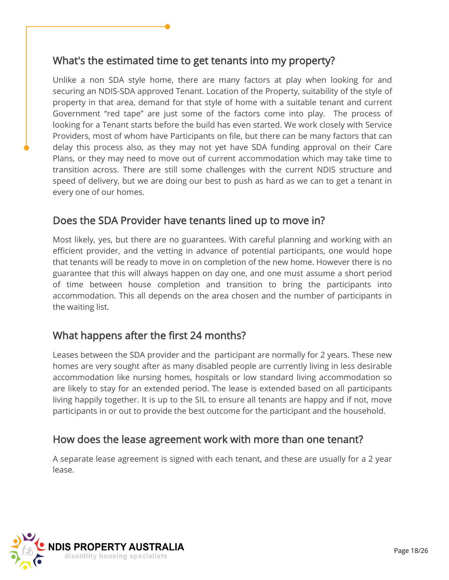#### What's the estimated time to get tenants into my property?

Unlike a non SDA style home, there are many factors at play when looking for and securing an NDIS-SDA approved Tenant. Location of the Property, suitability of the style of property in that area, demand for that style of home with a suitable tenant and current Government "red tape" are just some of the factors come into play. The process of looking for a Tenant starts before the build has even started. We work closely with Service Providers, most of whom have Participants on file, but there can be many factors that can delay this process also, as they may not yet have SDA funding approval on their Care Plans, or they may need to move out of current accommodation which may take time to transition across. There are still some challenges with the current NDIS structure and speed of delivery, but we are doing our best to push as hard as we can to get a tenant in every one of our homes.

#### Does the SDA Provider have tenants lined up to move in?

Most likely, yes, but there are no guarantees. With careful planning and working with an efficient provider, and the vetting in advance of potential participants, one would hope that tenants will be ready to move in on completion of the new home. However there is no guarantee that this will always happen on day one, and one must assume a short period of time between house completion and transition to bring the participants into accommodation. This all depends on the area chosen and the number of participants in the waiting list.

#### What happens after the first 24 months?

Leases between the SDA provider and the participant are normally for 2 years. These new homes are very sought after as many disabled people are currently living in less desirable accommodation like nursing homes, hospitals or low standard living accommodation so are likely to stay for an extended period. The lease is extended based on all participants living happily together. It is up to the SIL to ensure all tenants are happy and if not, move participants in or out to provide the best outcome for the participant and the household.

#### How does the lease agreement work with more than one tenant?

A separate lease agreement is signed with each tenant, and these are usually for a 2 year lease.

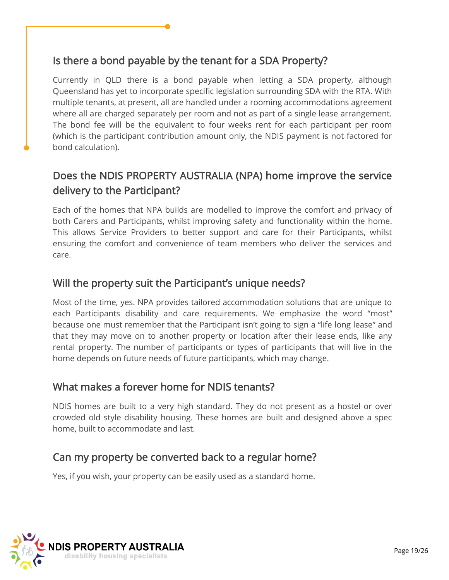# Is there a bond payable by the tenant for a SDA Property?

Currently in QLD there is a bond payable when letting a SDA property, although Queensland has yet to incorporate specific legislation surrounding SDA with the RTA. With multiple tenants, at present, all are handled under a rooming accommodations agreement where all are charged separately per room and not as part of a single lease arrangement. The bond fee will be the equivalent to four weeks rent for each participant per room (which is the participant contribution amount only, the NDIS payment is not factored for bond calculation).

# Does the NDIS PROPERTY AUSTRALIA (NPA) home improve the service delivery to the Participant?

Each of the homes that NPA builds are modelled to improve the comfort and privacy of both Carers and Participants, whilst improving safety and functionality within the home. This allows Service Providers to better support and care for their Participants, whilst ensuring the comfort and convenience of team members who deliver the services and care.

#### Will the property suit the Participant's unique needs?

Most of the time, yes. NPA provides tailored accommodation solutions that are unique to each Participants disability and care requirements. We emphasize the word "most" because one must remember that the Participant isn't going to sign a "life long lease" and that they may move on to another property or location after their lease ends, like any rental property. The number of participants or types of participants that will live in the home depends on future needs of future participants, which may change.

#### What makes a forever home for NDIS tenants?

NDIS homes are built to a very high standard. They do not present as a hostel or over crowded old style disability housing. These homes are built and designed above a spec home, built to accommodate and last.

# Can my property be converted back to a regular home?

Yes, if you wish, your property can be easily used as a standard home.

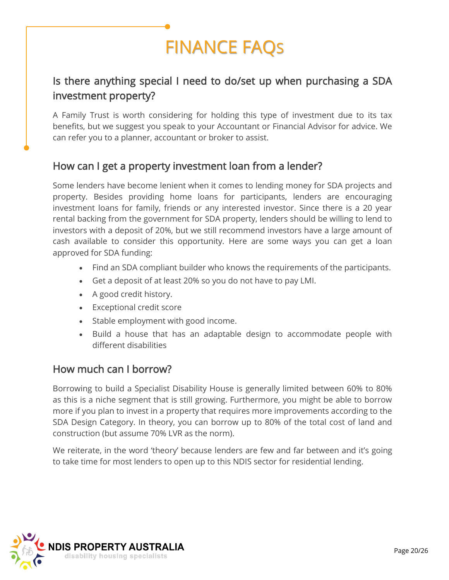# FINANCE FAQS

# Is there anything special I need to do/set up when purchasing a SDA investment property?

A Family Trust is worth considering for holding this type of investment due to its tax benefits, but we suggest you speak to your Accountant or Financial Advisor for advice. We can refer you to a planner, accountant or broker to assist.

#### How can I get a property investment loan from a lender?

Some lenders have become lenient when it comes to lending money for SDA projects and property. Besides providing home loans for participants, lenders are encouraging investment loans for family, friends or any interested investor. Since there is a 20 year rental backing from the government for SDA property, lenders should be willing to lend to investors with a deposit of 20%, but we still recommend investors have a large amount of cash available to consider this opportunity. Here are some ways you can get a loan approved for SDA funding:

- Find an SDA compliant builder who knows the requirements of the participants.
- Get a deposit of at least 20% so you do not have to pay LMI.
- A good credit history.
- Exceptional credit score
- Stable employment with good income.
- Build a house that has an adaptable design to accommodate people with different disabilities

#### How much can I borrow?

Borrowing to build a Specialist Disability House is generally limited between 60% to 80% as this is a niche segment that is still growing. Furthermore, you might be able to borrow more if you plan to invest in a property that requires more improvements according to the SDA Design Category. In theory, you can borrow up to 80% of the total cost of land and construction (but assume 70% LVR as the norm).

We reiterate, in the word 'theory' because lenders are few and far between and it's going to take time for most lenders to open up to this NDIS sector for residential lending.

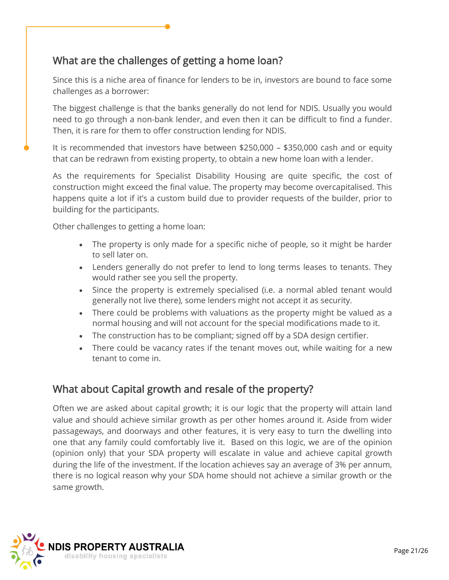# What are the challenges of getting a home loan?

Since this is a niche area of finance for lenders to be in, investors are bound to face some challenges as a borrower:

The biggest challenge is that the banks generally do not lend for NDIS. Usually you would need to go through a non-bank lender, and even then it can be difficult to find a funder. Then, it is rare for them to offer construction lending for NDIS.

It is recommended that investors have between \$250,000 – \$350,000 cash and or equity that can be redrawn from existing property, to obtain a new home loan with a lender.

As the requirements for Specialist Disability Housing are quite specific, the cost of construction might exceed the final value. The property may become overcapitalised. This happens quite a lot if it's a custom build due to provider requests of the builder, prior to building for the participants.

Other challenges to getting a home loan:

- The property is only made for a specific niche of people, so it might be harder to sell later on.
- Lenders generally do not prefer to lend to long terms leases to tenants. They would rather see you sell the property.
- Since the property is extremely specialised (i.e. a normal abled tenant would generally not live there), some lenders might not accept it as security.
- There could be problems with valuations as the property might be valued as a normal housing and will not account for the special modifications made to it.
- The construction has to be compliant; signed off by a SDA design certifier.
- There could be vacancy rates if the tenant moves out, while waiting for a new tenant to come in.

# What about Capital growth and resale of the property?

Often we are asked about capital growth; it is our logic that the property will attain land value and should achieve similar growth as per other homes around it. Aside from wider passageways, and doorways and other features, it is very easy to turn the dwelling into one that any family could comfortably live it. Based on this logic, we are of the opinion (opinion only) that your SDA property will escalate in value and achieve capital growth during the life of the investment. If the location achieves say an average of 3% per annum, there is no logical reason why your SDA home should not achieve a similar growth or the same growth.

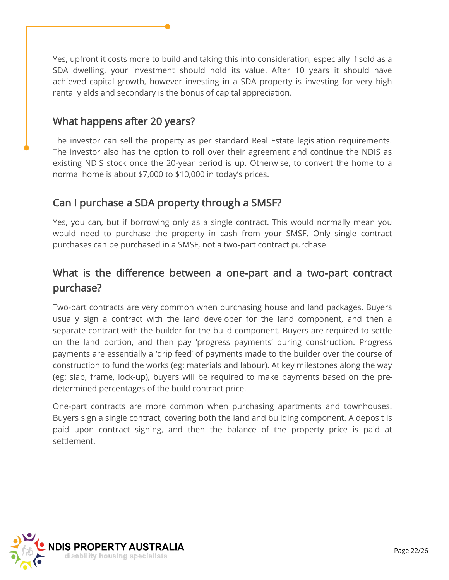Yes, upfront it costs more to build and taking this into consideration, especially if sold as a SDA dwelling, your investment should hold its value. After 10 years it should have achieved capital growth, however investing in a SDA property is investing for very high rental yields and secondary is the bonus of capital appreciation.

#### What happens after 20 years?

The investor can sell the property as per standard Real Estate legislation requirements. The investor also has the option to roll over their agreement and continue the NDIS as existing NDIS stock once the 20-year period is up. Otherwise, to convert the home to a normal home is about \$7,000 to \$10,000 in today's prices.

# Can I purchase a SDA property through a SMSF?

Yes, you can, but if borrowing only as a single contract. This would normally mean you would need to purchase the property in cash from your SMSF. Only single contract purchases can be purchased in a SMSF, not a two-part contract purchase.

# What is the difference between a one-part and a two-part contract purchase?

Two-part contracts are very common when purchasing house and land packages. Buyers usually sign a contract with the land developer for the land component, and then a separate contract with the builder for the build component. Buyers are required to settle on the land portion, and then pay 'progress payments' during construction. Progress payments are essentially a 'drip feed' of payments made to the builder over the course of construction to fund the works (eg: materials and labour). At key milestones along the way (eg: slab, frame, lock-up), buyers will be required to make payments based on the predetermined percentages of the build contract price.

One-part contracts are more common when purchasing apartments and townhouses. Buyers sign a single contract, covering both the land and building component. A deposit is paid upon contract signing, and then the balance of the property price is paid at settlement.

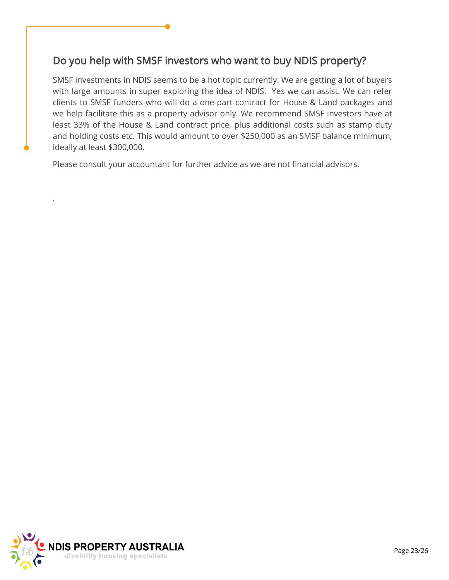# Do you help with SMSF investors who want to buy NDIS property?

SMSF investments in NDIS seems to be a hot topic currently. We are getting a lot of buyers with large amounts in super exploring the idea of NDIS. Yes we can assist. We can refer clients to SMSF funders who will do a one-part contract for House & Land packages and we help facilitate this as a property advisor only. We recommend SMSF investors have at least 33% of the House & Land contract price, plus additional costs such as stamp duty and holding costs etc. This would amount to over \$250,000 as an SMSF balance minimum, ideally at least \$300,000.

Please consult your accountant for further advice as we are not financial advisors.



.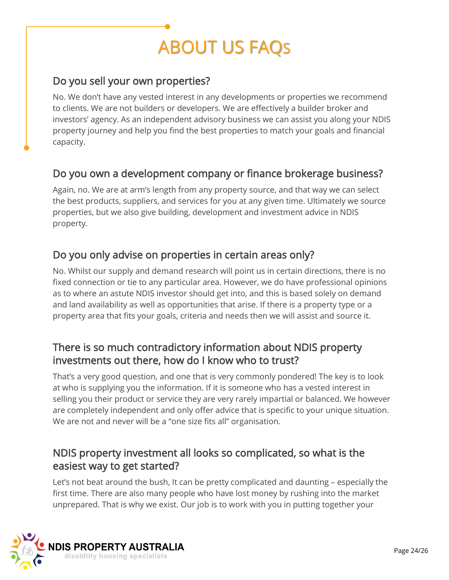# ABOUT US FAQS

# Do you sell your own properties?

No. We don't have any vested interest in any developments or properties we recommend to clients. We are not builders or developers. We are effectively a builder broker and investors' agency. As an independent advisory business we can assist you along your NDIS property journey and help you find the best properties to match your goals and financial capacity.

#### Do you own a development company or finance brokerage business?

Again, no. We are at arm's length from any property source, and that way we can select the best products, suppliers, and services for you at any given time. Ultimately we source properties, but we also give building, development and investment advice in NDIS property.

#### Do you only advise on properties in certain areas only?

No. Whilst our supply and demand research will point us in certain directions, there is no fixed connection or tie to any particular area. However, we do have professional opinions as to where an astute NDIS investor should get into, and this is based solely on demand and land availability as well as opportunities that arise. If there is a property type or a property area that fits your goals, criteria and needs then we will assist and source it.

# There is so much contradictory information about NDIS property investments out there, how do I know who to trust?

That's a very good question, and one that is very commonly pondered! The key is to look at who is supplying you the information. If it is someone who has a vested interest in selling you their product or service they are very rarely impartial or balanced. We however are completely independent and only offer advice that is specific to your unique situation. We are not and never will be a "one size fits all" organisation.

#### NDIS property investment all looks so complicated, so what is the easiest way to get started?

Let's not beat around the bush, It can be pretty complicated and daunting – especially the first time. There are also many people who have lost money by rushing into the market unprepared. That is why we exist. Our job is to work with you in putting together your

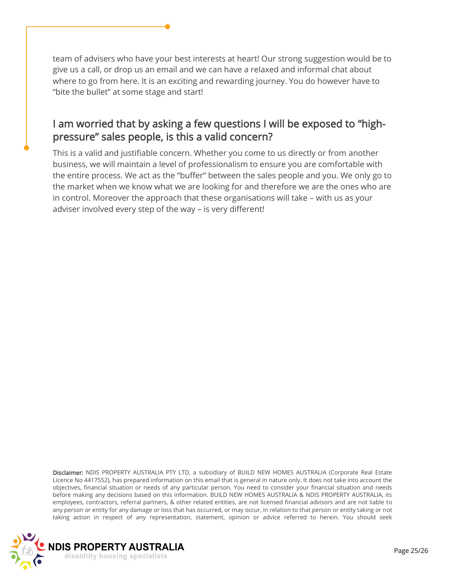team of advisers who have your best interests at heart! Our strong suggestion would be to give us a call, or drop us an email and we can have a relaxed and informal chat about where to go from here. It is an exciting and rewarding journey. You do however have to "bite the bullet" at some stage and start!

# I am worried that by asking a few questions I will be exposed to "highpressure" sales people, is this a valid concern?

This is a valid and justifiable concern. Whether you come to us directly or from another business, we will maintain a level of professionalism to ensure you are comfortable with the entire process. We act as the "buffer" between the sales people and you. We only go to the market when we know what we are looking for and therefore we are the ones who are in control. Moreover the approach that these organisations will take – with us as your adviser involved every step of the way – is very different!

Disclaimer: NDIS PROPERTY AUSTRALIA PTY LTD, a subsidiary of BUILD NEW HOMES AUSTRALIA (Corporate Real Estate Licence No 4417552), has prepared information on this email that is general in nature only. It does not take into account the objectives, financial situation or needs of any particular person. You need to consider your financial situation and needs before making any decisions based on this information. BUILD NEW HOMES AUSTRALIA & NDIS PROPERTY AUSTRALIA, its employees, contractors, referral partners, & other related entities, are not licensed financial advisors and are not liable to any person or entity for any damage or loss that has occurred, or may occur, in relation to that person or entity taking or not taking action in respect of any representation, statement, opinion or advice referred to herein. You should seek